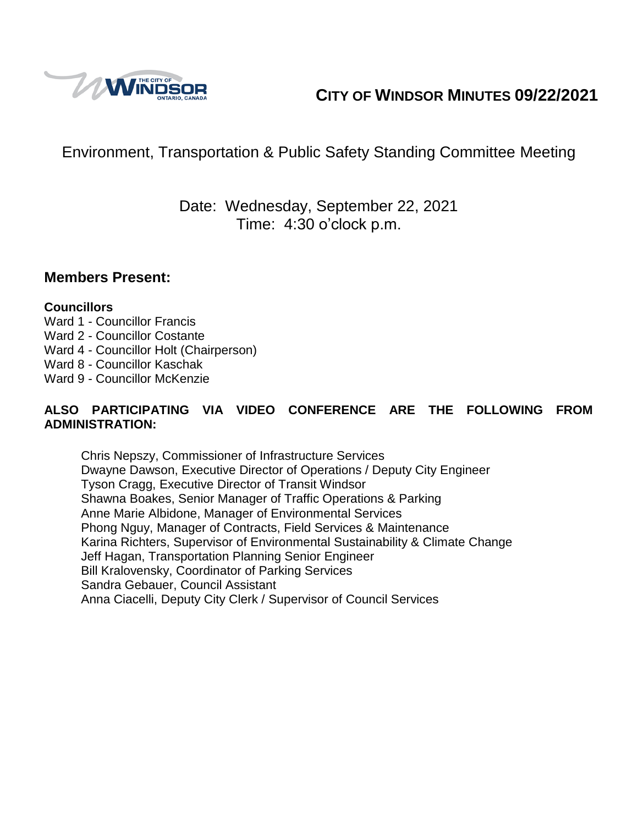

# **CITY OF WINDSOR MINUTES 09/22/2021**

# Environment, Transportation & Public Safety Standing Committee Meeting

## Date: Wednesday, September 22, 2021 Time: 4:30 o'clock p.m.

#### **Members Present:**

#### **Councillors**

- Ward 1 Councillor Francis
- Ward 2 Councillor Costante
- Ward 4 Councillor Holt (Chairperson)
- Ward 8 Councillor Kaschak
- Ward 9 Councillor McKenzie

#### **ALSO PARTICIPATING VIA VIDEO CONFERENCE ARE THE FOLLOWING FROM ADMINISTRATION:**

Chris Nepszy, Commissioner of Infrastructure Services Dwayne Dawson, Executive Director of Operations / Deputy City Engineer Tyson Cragg, Executive Director of Transit Windsor Shawna Boakes, Senior Manager of Traffic Operations & Parking Anne Marie Albidone, Manager of Environmental Services Phong Nguy, Manager of Contracts, Field Services & Maintenance Karina Richters, Supervisor of Environmental Sustainability & Climate Change Jeff Hagan, Transportation Planning Senior Engineer Bill Kralovensky, Coordinator of Parking Services Sandra Gebauer, Council Assistant Anna Ciacelli, Deputy City Clerk / Supervisor of Council Services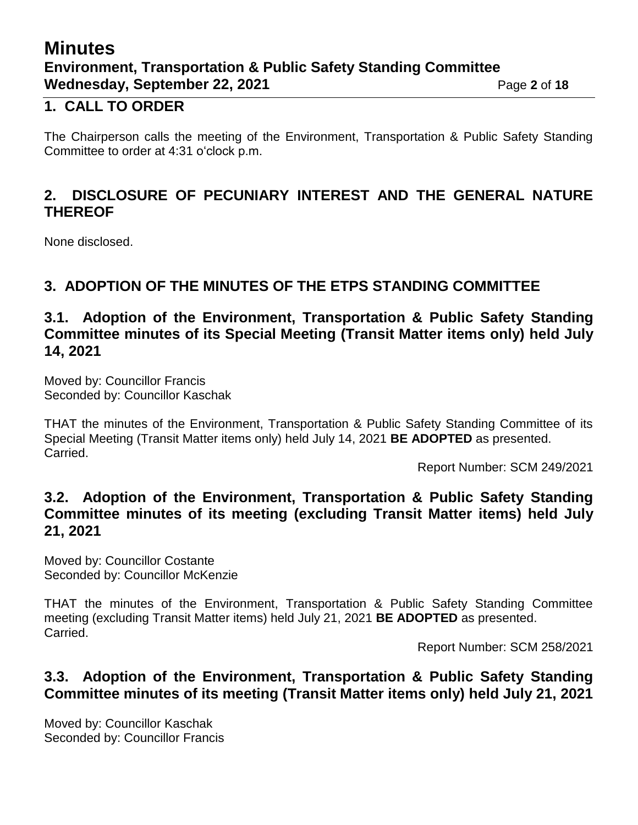## **Minutes Environment, Transportation & Public Safety Standing Committee Wednesday, September 22, 2021** Page 2 of 18

## **1. CALL TO ORDER**

The Chairperson calls the meeting of the Environment, Transportation & Public Safety Standing Committee to order at 4:31 o'clock p.m.

## **2. DISCLOSURE OF PECUNIARY INTEREST AND THE GENERAL NATURE THEREOF**

None disclosed.

## **3. ADOPTION OF THE MINUTES OF THE ETPS STANDING COMMITTEE**

## **3.1. Adoption of the Environment, Transportation & Public Safety Standing Committee minutes of its Special Meeting (Transit Matter items only) held July 14, 2021**

Moved by: Councillor Francis Seconded by: Councillor Kaschak

THAT the minutes of the Environment, Transportation & Public Safety Standing Committee of its Special Meeting (Transit Matter items only) held July 14, 2021 **BE ADOPTED** as presented. Carried.

Report Number: SCM 249/2021

### **3.2. Adoption of the Environment, Transportation & Public Safety Standing Committee minutes of its meeting (excluding Transit Matter items) held July 21, 2021**

Moved by: Councillor Costante Seconded by: Councillor McKenzie

THAT the minutes of the Environment, Transportation & Public Safety Standing Committee meeting (excluding Transit Matter items) held July 21, 2021 **BE ADOPTED** as presented. Carried.

Report Number: SCM 258/2021

## **3.3. Adoption of the Environment, Transportation & Public Safety Standing Committee minutes of its meeting (Transit Matter items only) held July 21, 2021**

Moved by: Councillor Kaschak Seconded by: Councillor Francis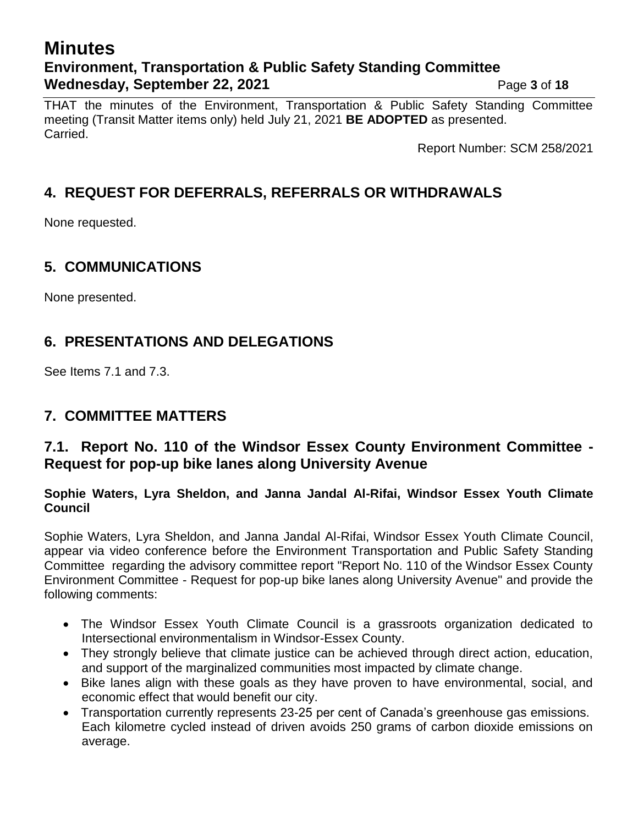# **Minutes Environment, Transportation & Public Safety Standing Committee Wednesday, September 22, 2021** Page 3 of 18

THAT the minutes of the Environment, Transportation & Public Safety Standing Committee meeting (Transit Matter items only) held July 21, 2021 **BE ADOPTED** as presented. Carried.

Report Number: SCM 258/2021

## **4. REQUEST FOR DEFERRALS, REFERRALS OR WITHDRAWALS**

None requested.

## **5. COMMUNICATIONS**

None presented.

## **6. PRESENTATIONS AND DELEGATIONS**

See Items 7.1 and 7.3.

## **7. COMMITTEE MATTERS**

## **7.1. Report No. 110 of the Windsor Essex County Environment Committee - Request for pop-up bike lanes along University Avenue**

#### **Sophie Waters, Lyra Sheldon, and Janna Jandal Al-Rifai, Windsor Essex Youth Climate Council**

Sophie Waters, Lyra Sheldon, and Janna Jandal Al-Rifai, Windsor Essex Youth Climate Council, appear via video conference before the Environment Transportation and Public Safety Standing Committee regarding the advisory committee report "Report No. 110 of the Windsor Essex County Environment Committee - Request for pop-up bike lanes along University Avenue" and provide the following comments:

- The Windsor Essex Youth Climate Council is a grassroots organization dedicated to Intersectional environmentalism in Windsor-Essex County.
- They strongly believe that climate justice can be achieved through direct action, education, and support of the marginalized communities most impacted by climate change.
- Bike lanes align with these goals as they have proven to have environmental, social, and economic effect that would benefit our city.
- Transportation currently represents 23-25 per cent of Canada's greenhouse gas emissions. Each kilometre cycled instead of driven avoids 250 grams of carbon dioxide emissions on average.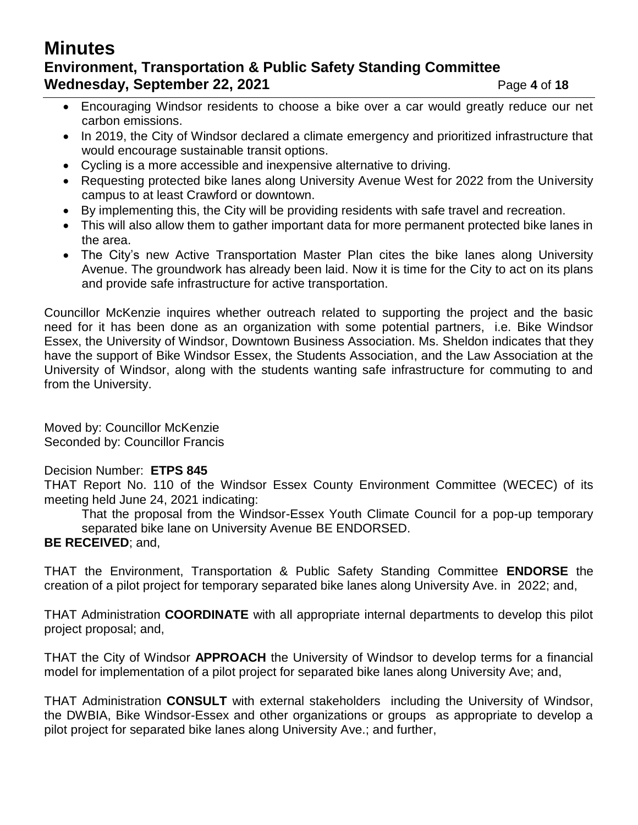# **Minutes Environment, Transportation & Public Safety Standing Committee Wednesday, September 22, 2021** Page 4 of 18

- Encouraging Windsor residents to choose a bike over a car would greatly reduce our net carbon emissions.
- In 2019, the City of Windsor declared a climate emergency and prioritized infrastructure that would encourage sustainable transit options.
- Cycling is a more accessible and inexpensive alternative to driving.
- Requesting protected bike lanes along University Avenue West for 2022 from the University campus to at least Crawford or downtown.
- By implementing this, the City will be providing residents with safe travel and recreation.
- This will also allow them to gather important data for more permanent protected bike lanes in the area.
- The City's new Active Transportation Master Plan cites the bike lanes along University Avenue. The groundwork has already been laid. Now it is time for the City to act on its plans and provide safe infrastructure for active transportation.

Councillor McKenzie inquires whether outreach related to supporting the project and the basic need for it has been done as an organization with some potential partners, i.e. Bike Windsor Essex, the University of Windsor, Downtown Business Association. Ms. Sheldon indicates that they have the support of Bike Windsor Essex, the Students Association, and the Law Association at the University of Windsor, along with the students wanting safe infrastructure for commuting to and from the University.

Moved by: Councillor McKenzie Seconded by: Councillor Francis

#### Decision Number: **ETPS 845**

THAT Report No. 110 of the Windsor Essex County Environment Committee (WECEC) of its meeting held June 24, 2021 indicating:

That the proposal from the Windsor-Essex Youth Climate Council for a pop-up temporary separated bike lane on University Avenue BE ENDORSED. **BE RECEIVED**; and,

THAT the Environment, Transportation & Public Safety Standing Committee **ENDORSE** the creation of a pilot project for temporary separated bike lanes along University Ave. in 2022; and,

THAT Administration **COORDINATE** with all appropriate internal departments to develop this pilot project proposal; and,

THAT the City of Windsor **APPROACH** the University of Windsor to develop terms for a financial model for implementation of a pilot project for separated bike lanes along University Ave; and,

THAT Administration **CONSULT** with external stakeholders including the University of Windsor, the DWBIA, Bike Windsor-Essex and other organizations or groups as appropriate to develop a pilot project for separated bike lanes along University Ave.; and further,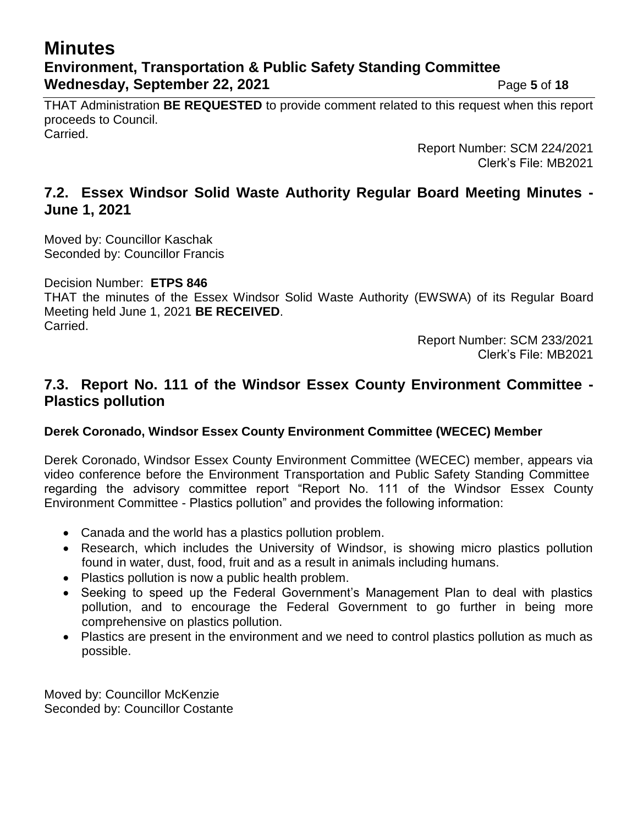# **Minutes Environment, Transportation & Public Safety Standing Committee Wednesday, September 22, 2021** Page 5 of 18

THAT Administration **BE REQUESTED** to provide comment related to this request when this report proceeds to Council. Carried.

> Report Number: SCM 224/2021 Clerk's File: MB2021

## **7.2. Essex Windsor Solid Waste Authority Regular Board Meeting Minutes - June 1, 2021**

Moved by: Councillor Kaschak Seconded by: Councillor Francis

Decision Number: **ETPS 846**

THAT the minutes of the Essex Windsor Solid Waste Authority (EWSWA) of its Regular Board Meeting held June 1, 2021 **BE RECEIVED**. Carried.

> Report Number: SCM 233/2021 Clerk's File: MB2021

### **7.3. Report No. 111 of the Windsor Essex County Environment Committee - Plastics pollution**

#### **Derek Coronado, Windsor Essex County Environment Committee (WECEC) Member**

Derek Coronado, Windsor Essex County Environment Committee (WECEC) member, appears via video conference before the Environment Transportation and Public Safety Standing Committee regarding the advisory committee report "Report No. 111 of the Windsor Essex County Environment Committee - Plastics pollution" and provides the following information:

- Canada and the world has a plastics pollution problem.
- Research, which includes the University of Windsor, is showing micro plastics pollution found in water, dust, food, fruit and as a result in animals including humans.
- Plastics pollution is now a public health problem.
- Seeking to speed up the Federal Government's Management Plan to deal with plastics pollution, and to encourage the Federal Government to go further in being more comprehensive on plastics pollution.
- Plastics are present in the environment and we need to control plastics pollution as much as possible.

Moved by: Councillor McKenzie Seconded by: Councillor Costante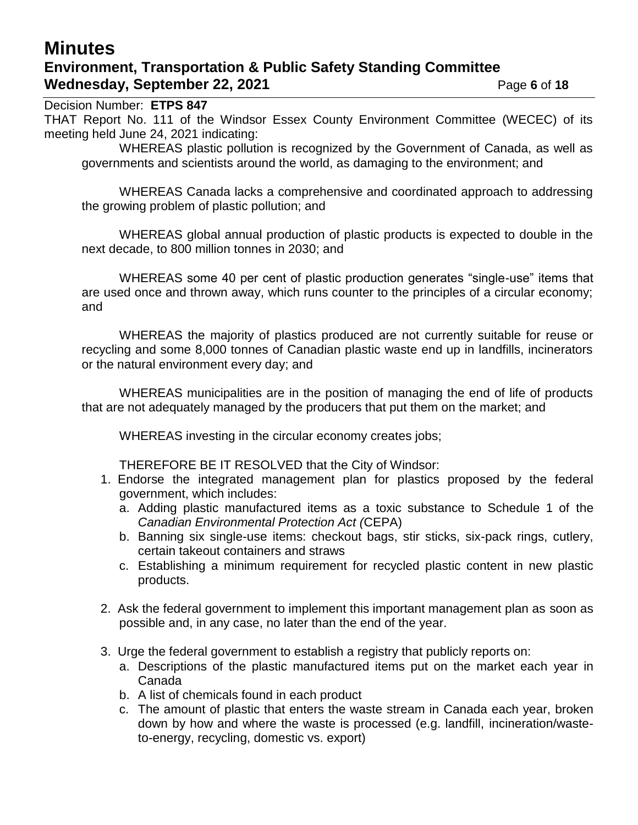## **Minutes Environment, Transportation & Public Safety Standing Committee Wednesday, September 22, 2021 Page 6** of 18

Decision Number: **ETPS 847** THAT Report No. 111 of the Windsor Essex County Environment Committee (WECEC) of its meeting held June 24, 2021 indicating:

WHEREAS plastic pollution is recognized by the Government of Canada, as well as governments and scientists around the world, as damaging to the environment; and

WHEREAS Canada lacks a comprehensive and coordinated approach to addressing the growing problem of plastic pollution; and

WHEREAS global annual production of plastic products is expected to double in the next decade, to 800 million tonnes in 2030; and

WHEREAS some 40 per cent of plastic production generates "single-use" items that are used once and thrown away, which runs counter to the principles of a circular economy; and

WHEREAS the majority of plastics produced are not currently suitable for reuse or recycling and some 8,000 tonnes of Canadian plastic waste end up in landfills, incinerators or the natural environment every day; and

WHEREAS municipalities are in the position of managing the end of life of products that are not adequately managed by the producers that put them on the market; and

WHEREAS investing in the circular economy creates jobs;

THEREFORE BE IT RESOLVED that the City of Windsor:

- 1. Endorse the integrated management plan for plastics proposed by the federal government, which includes:
	- a. Adding plastic manufactured items as a toxic substance to Schedule 1 of the *Canadian Environmental Protection Act (*CEPA)
	- b. Banning six single-use items: checkout bags, stir sticks, six-pack rings, cutlery, certain takeout containers and straws
	- c. Establishing a minimum requirement for recycled plastic content in new plastic products.
- 2. Ask the federal government to implement this important management plan as soon as possible and, in any case, no later than the end of the year.
- 3. Urge the federal government to establish a registry that publicly reports on:
	- a. Descriptions of the plastic manufactured items put on the market each year in Canada
	- b. A list of chemicals found in each product
	- c. The amount of plastic that enters the waste stream in Canada each year, broken down by how and where the waste is processed (e.g. landfill, incineration/wasteto-energy, recycling, domestic vs. export)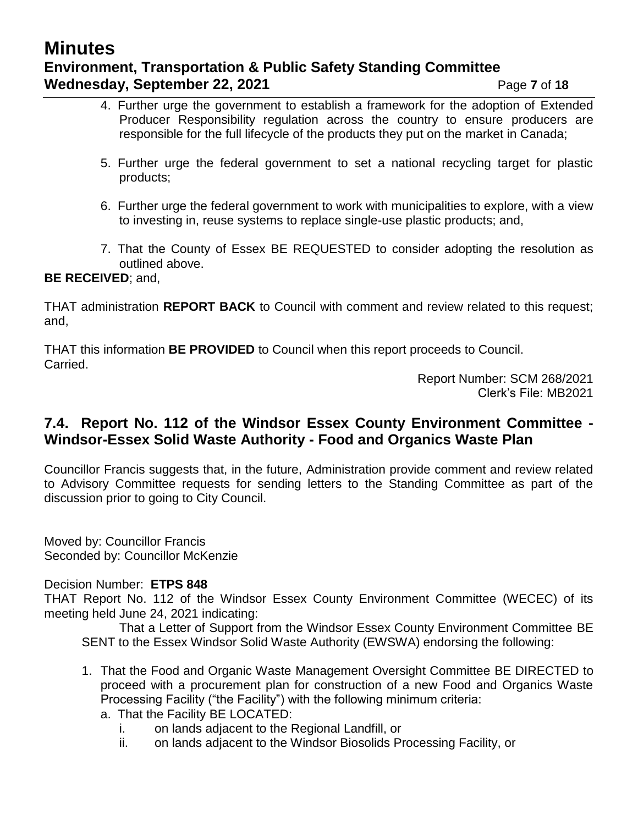# **Minutes Environment, Transportation & Public Safety Standing Committee Wednesday, September 22, 2021** Page 7 of 18

- 4. Further urge the government to establish a framework for the adoption of Extended Producer Responsibility regulation across the country to ensure producers are responsible for the full lifecycle of the products they put on the market in Canada;
- 5. Further urge the federal government to set a national recycling target for plastic products;
- 6. Further urge the federal government to work with municipalities to explore, with a view to investing in, reuse systems to replace single-use plastic products; and,
- 7. That the County of Essex BE REQUESTED to consider adopting the resolution as outlined above.

#### **BE RECEIVED**; and,

THAT administration **REPORT BACK** to Council with comment and review related to this request; and,

THAT this information **BE PROVIDED** to Council when this report proceeds to Council. Carried.

> Report Number: SCM 268/2021 Clerk's File: MB2021

### **7.4. Report No. 112 of the Windsor Essex County Environment Committee - Windsor-Essex Solid Waste Authority - Food and Organics Waste Plan**

Councillor Francis suggests that, in the future, Administration provide comment and review related to Advisory Committee requests for sending letters to the Standing Committee as part of the discussion prior to going to City Council.

Moved by: Councillor Francis Seconded by: Councillor McKenzie

#### Decision Number: **ETPS 848**

THAT Report No. 112 of the Windsor Essex County Environment Committee (WECEC) of its meeting held June 24, 2021 indicating:

That a Letter of Support from the Windsor Essex County Environment Committee BE SENT to the Essex Windsor Solid Waste Authority (EWSWA) endorsing the following:

- 1. That the Food and Organic Waste Management Oversight Committee BE DIRECTED to proceed with a procurement plan for construction of a new Food and Organics Waste Processing Facility ("the Facility") with the following minimum criteria:
	- a. That the Facility BE LOCATED:
		- i. on lands adjacent to the Regional Landfill, or
		- ii. on lands adjacent to the Windsor Biosolids Processing Facility, or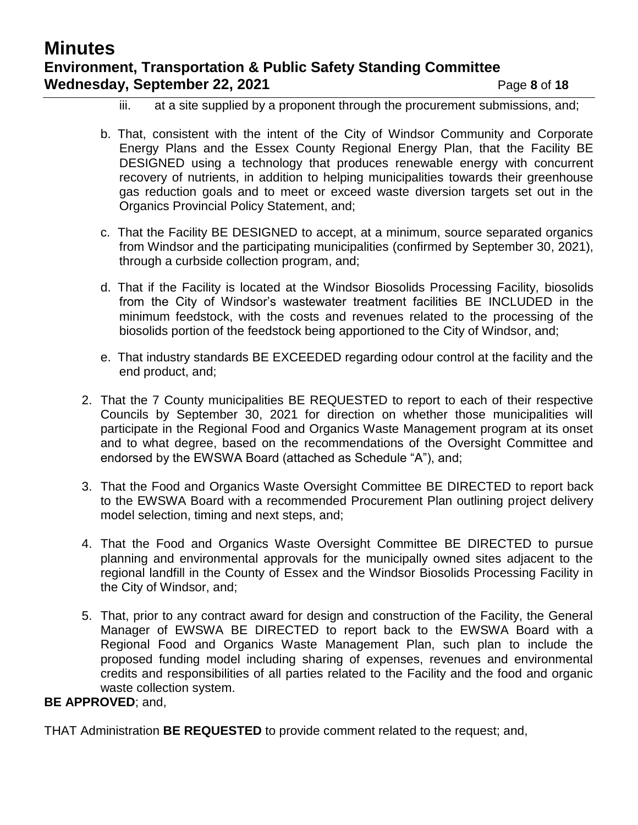# **Minutes Environment, Transportation & Public Safety Standing Committee Wednesday, September 22, 2021** Page 8 of 18

- iii. at a site supplied by a proponent through the procurement submissions, and;
- b. That, consistent with the intent of the City of Windsor Community and Corporate Energy Plans and the Essex County Regional Energy Plan, that the Facility BE DESIGNED using a technology that produces renewable energy with concurrent recovery of nutrients, in addition to helping municipalities towards their greenhouse gas reduction goals and to meet or exceed waste diversion targets set out in the Organics Provincial Policy Statement, and;
- c. That the Facility BE DESIGNED to accept, at a minimum, source separated organics from Windsor and the participating municipalities (confirmed by September 30, 2021), through a curbside collection program, and;
- d. That if the Facility is located at the Windsor Biosolids Processing Facility, biosolids from the City of Windsor's wastewater treatment facilities BE INCLUDED in the minimum feedstock, with the costs and revenues related to the processing of the biosolids portion of the feedstock being apportioned to the City of Windsor, and;
- e. That industry standards BE EXCEEDED regarding odour control at the facility and the end product, and;
- 2. That the 7 County municipalities BE REQUESTED to report to each of their respective Councils by September 30, 2021 for direction on whether those municipalities will participate in the Regional Food and Organics Waste Management program at its onset and to what degree, based on the recommendations of the Oversight Committee and endorsed by the EWSWA Board (attached as Schedule "A"), and;
- 3. That the Food and Organics Waste Oversight Committee BE DIRECTED to report back to the EWSWA Board with a recommended Procurement Plan outlining project delivery model selection, timing and next steps, and;
- 4. That the Food and Organics Waste Oversight Committee BE DIRECTED to pursue planning and environmental approvals for the municipally owned sites adjacent to the regional landfill in the County of Essex and the Windsor Biosolids Processing Facility in the City of Windsor, and;
- 5. That, prior to any contract award for design and construction of the Facility, the General Manager of EWSWA BE DIRECTED to report back to the EWSWA Board with a Regional Food and Organics Waste Management Plan, such plan to include the proposed funding model including sharing of expenses, revenues and environmental credits and responsibilities of all parties related to the Facility and the food and organic waste collection system.

#### **BE APPROVED**; and,

THAT Administration **BE REQUESTED** to provide comment related to the request; and,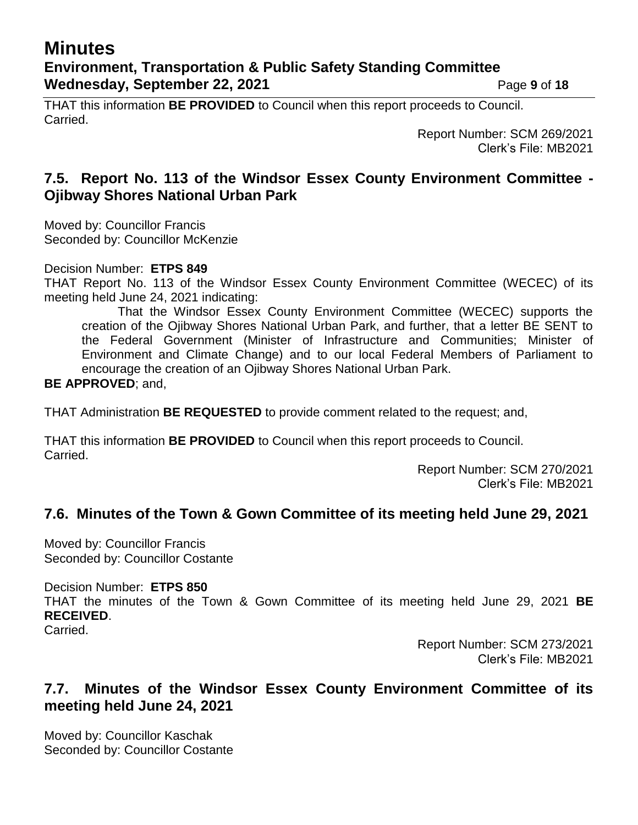## **Minutes Environment, Transportation & Public Safety Standing Committee Wednesday, September 22, 2021** Page 9 of 18

THAT this information **BE PROVIDED** to Council when this report proceeds to Council. Carried.

> Report Number: SCM 269/2021 Clerk's File: MB2021

## **7.5. Report No. 113 of the Windsor Essex County Environment Committee - Ojibway Shores National Urban Park**

Moved by: Councillor Francis Seconded by: Councillor McKenzie

Decision Number: **ETPS 849**

THAT Report No. 113 of the Windsor Essex County Environment Committee (WECEC) of its meeting held June 24, 2021 indicating:

That the Windsor Essex County Environment Committee (WECEC) supports the creation of the Ojibway Shores National Urban Park, and further, that a letter BE SENT to the Federal Government (Minister of Infrastructure and Communities; Minister of Environment and Climate Change) and to our local Federal Members of Parliament to encourage the creation of an Ojibway Shores National Urban Park.

#### **BE APPROVED**; and,

THAT Administration **BE REQUESTED** to provide comment related to the request; and,

THAT this information **BE PROVIDED** to Council when this report proceeds to Council. Carried.

> Report Number: SCM 270/2021 Clerk's File: MB2021

## **7.6. Minutes of the Town & Gown Committee of its meeting held June 29, 2021**

Moved by: Councillor Francis Seconded by: Councillor Costante

Decision Number: **ETPS 850**

THAT the minutes of the Town & Gown Committee of its meeting held June 29, 2021 **BE RECEIVED**.

Carried.

Report Number: SCM 273/2021 Clerk's File: MB2021

## **7.7. Minutes of the Windsor Essex County Environment Committee of its meeting held June 24, 2021**

Moved by: Councillor Kaschak Seconded by: Councillor Costante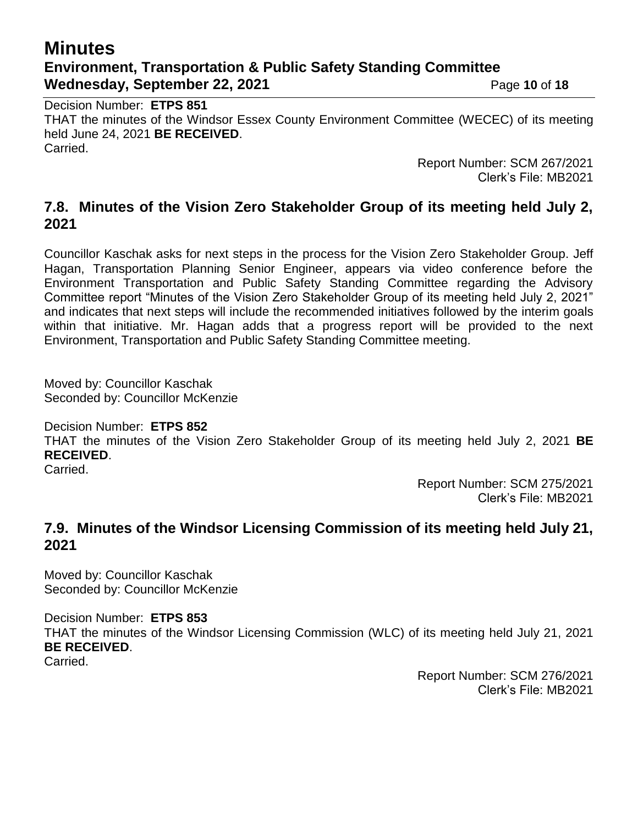# **Minutes Environment, Transportation & Public Safety Standing Committee Wednesday, September 22, 2021** Page 10 of 18

Decision Number: **ETPS 851** THAT the minutes of the Windsor Essex County Environment Committee (WECEC) of its meeting held June 24, 2021 **BE RECEIVED**. Carried.

> Report Number: SCM 267/2021 Clerk's File: MB2021

### **7.8. Minutes of the Vision Zero Stakeholder Group of its meeting held July 2, 2021**

Councillor Kaschak asks for next steps in the process for the Vision Zero Stakeholder Group. Jeff Hagan, Transportation Planning Senior Engineer, appears via video conference before the Environment Transportation and Public Safety Standing Committee regarding the Advisory Committee report "Minutes of the Vision Zero Stakeholder Group of its meeting held July 2, 2021" and indicates that next steps will include the recommended initiatives followed by the interim goals within that initiative. Mr. Hagan adds that a progress report will be provided to the next Environment, Transportation and Public Safety Standing Committee meeting.

Moved by: Councillor Kaschak Seconded by: Councillor McKenzie

Decision Number: **ETPS 852**

THAT the minutes of the Vision Zero Stakeholder Group of its meeting held July 2, 2021 **BE RECEIVED**.

Carried.

Report Number: SCM 275/2021 Clerk's File: MB2021

## **7.9. Minutes of the Windsor Licensing Commission of its meeting held July 21, 2021**

Moved by: Councillor Kaschak Seconded by: Councillor McKenzie

Decision Number: **ETPS 853** THAT the minutes of the Windsor Licensing Commission (WLC) of its meeting held July 21, 2021 **BE RECEIVED**. Carried.

> Report Number: SCM 276/2021 Clerk's File: MB2021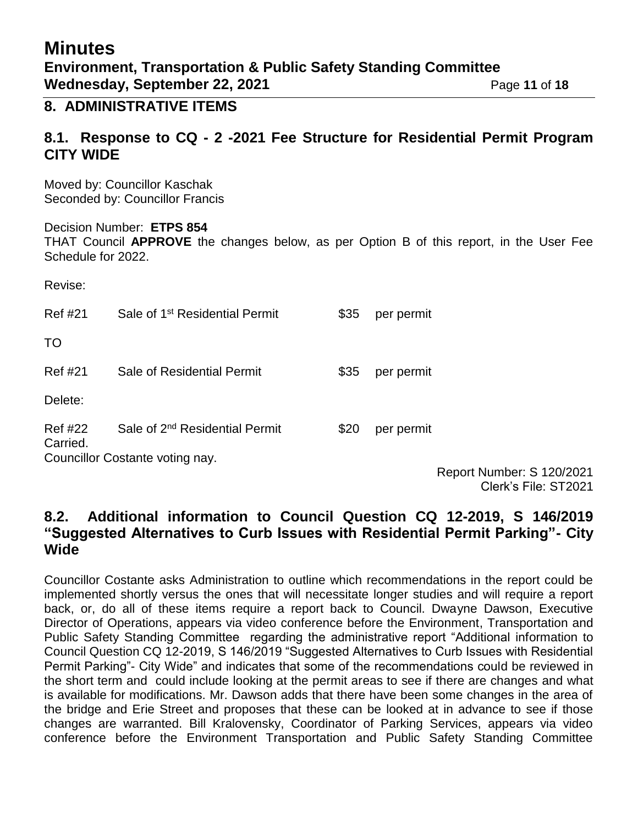# **Minutes Environment, Transportation & Public Safety Standing Committee Wednesday, September 22, 2021** Page 11 of 18

### **8. ADMINISTRATIVE ITEMS**

## **8.1. Response to CQ - 2 -2021 Fee Structure for Residential Permit Program CITY WIDE**

Moved by: Councillor Kaschak Seconded by: Councillor Francis

Decision Number: **ETPS 854** THAT Council **APPROVE** the changes below, as per Option B of this report, in the User Fee Schedule for 2022.

Revise:

| <b>Ref #21</b>                  | Sale of 1 <sup>st</sup> Residential Permit | \$35 | per permit |
|---------------------------------|--------------------------------------------|------|------------|
| TO                              |                                            |      |            |
| <b>Ref #21</b>                  | Sale of Residential Permit                 | \$35 | per permit |
| Delete:                         |                                            |      |            |
| Ref #22<br>Carried.             | Sale of 2 <sup>nd</sup> Residential Permit | \$20 | per permit |
| Councillor Costante voting nay. |                                            |      |            |

Report Number: S 120/2021 Clerk's File: ST2021

### **8.2. Additional information to Council Question CQ 12-2019, S 146/2019 "Suggested Alternatives to Curb Issues with Residential Permit Parking"- City Wide**

Councillor Costante asks Administration to outline which recommendations in the report could be implemented shortly versus the ones that will necessitate longer studies and will require a report back, or, do all of these items require a report back to Council. Dwayne Dawson, Executive Director of Operations, appears via video conference before the Environment, Transportation and Public Safety Standing Committee regarding the administrative report "Additional information to Council Question CQ 12-2019, S 146/2019 "Suggested Alternatives to Curb Issues with Residential Permit Parking"- City Wide" and indicates that some of the recommendations could be reviewed in the short term and could include looking at the permit areas to see if there are changes and what is available for modifications. Mr. Dawson adds that there have been some changes in the area of the bridge and Erie Street and proposes that these can be looked at in advance to see if those changes are warranted. Bill Kralovensky, Coordinator of Parking Services, appears via video conference before the Environment Transportation and Public Safety Standing Committee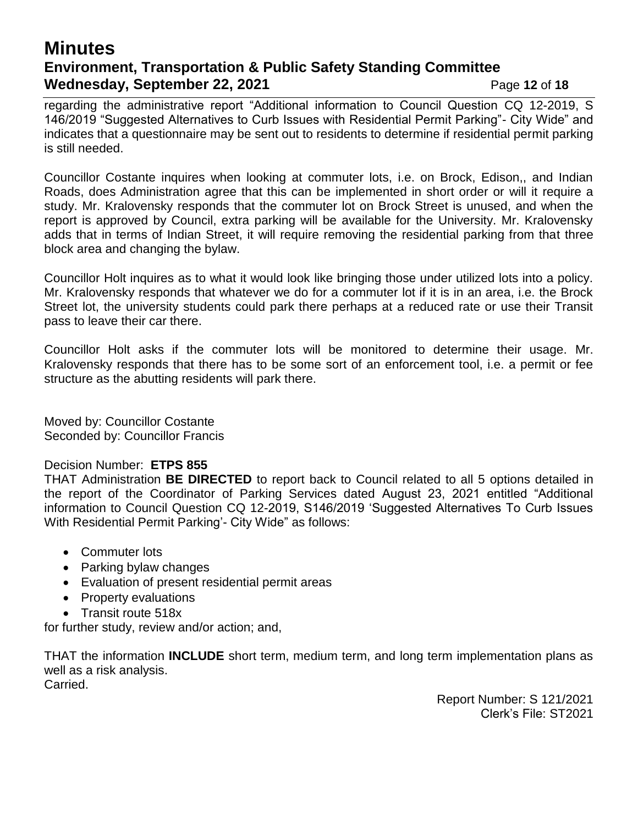## **Minutes Environment, Transportation & Public Safety Standing Committee Wednesday, September 22, 2021** Page 12 of 18

regarding the administrative report "Additional information to Council Question CQ 12-2019, S 146/2019 "Suggested Alternatives to Curb Issues with Residential Permit Parking"- City Wide" and indicates that a questionnaire may be sent out to residents to determine if residential permit parking is still needed.

Councillor Costante inquires when looking at commuter lots, i.e. on Brock, Edison,, and Indian Roads, does Administration agree that this can be implemented in short order or will it require a study. Mr. Kralovensky responds that the commuter lot on Brock Street is unused, and when the report is approved by Council, extra parking will be available for the University. Mr. Kralovensky adds that in terms of Indian Street, it will require removing the residential parking from that three block area and changing the bylaw.

Councillor Holt inquires as to what it would look like bringing those under utilized lots into a policy. Mr. Kralovensky responds that whatever we do for a commuter lot if it is in an area, i.e. the Brock Street lot, the university students could park there perhaps at a reduced rate or use their Transit pass to leave their car there.

Councillor Holt asks if the commuter lots will be monitored to determine their usage. Mr. Kralovensky responds that there has to be some sort of an enforcement tool, i.e. a permit or fee structure as the abutting residents will park there.

Moved by: Councillor Costante Seconded by: Councillor Francis

#### Decision Number: **ETPS 855**

THAT Administration **BE DIRECTED** to report back to Council related to all 5 options detailed in the report of the Coordinator of Parking Services dated August 23, 2021 entitled "Additional information to Council Question CQ 12-2019, S146/2019 'Suggested Alternatives To Curb Issues With Residential Permit Parking'- City Wide" as follows:

- Commuter lots
- Parking bylaw changes
- Evaluation of present residential permit areas
- Property evaluations
- Transit route 518x

for further study, review and/or action; and,

THAT the information **INCLUDE** short term, medium term, and long term implementation plans as well as a risk analysis. Carried.

> Report Number: S 121/2021 Clerk's File: ST2021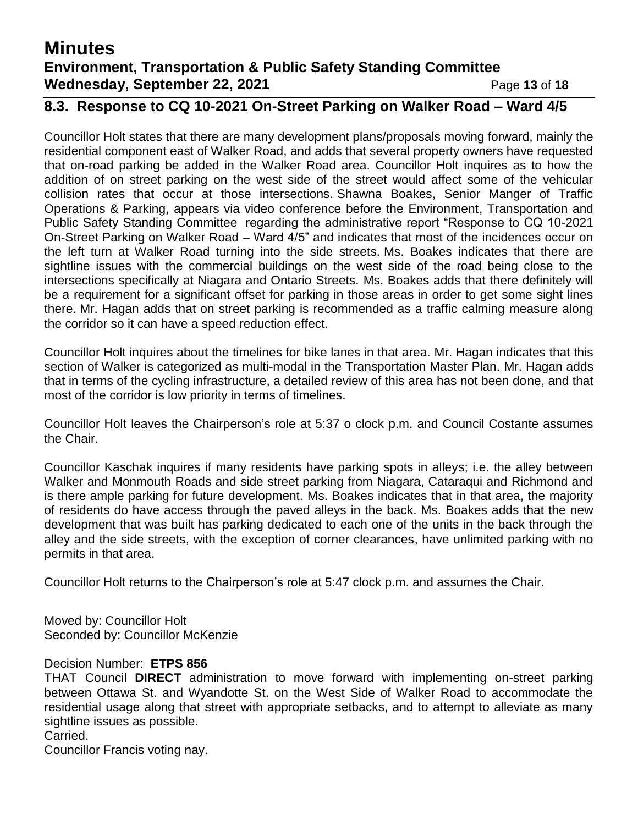# **Minutes Environment, Transportation & Public Safety Standing Committee Wednesday, September 22, 2021** Page 13 of 18

## **8.3. Response to CQ 10-2021 On-Street Parking on Walker Road – Ward 4/5**

Councillor Holt states that there are many development plans/proposals moving forward, mainly the residential component east of Walker Road, and adds that several property owners have requested that on-road parking be added in the Walker Road area. Councillor Holt inquires as to how the addition of on street parking on the west side of the street would affect some of the vehicular collision rates that occur at those intersections. Shawna Boakes, Senior Manger of Traffic Operations & Parking, appears via video conference before the Environment, Transportation and Public Safety Standing Committee regarding the administrative report "Response to CQ 10-2021 On-Street Parking on Walker Road – Ward 4/5" and indicates that most of the incidences occur on the left turn at Walker Road turning into the side streets. Ms. Boakes indicates that there are sightline issues with the commercial buildings on the west side of the road being close to the intersections specifically at Niagara and Ontario Streets. Ms. Boakes adds that there definitely will be a requirement for a significant offset for parking in those areas in order to get some sight lines there. Mr. Hagan adds that on street parking is recommended as a traffic calming measure along the corridor so it can have a speed reduction effect.

Councillor Holt inquires about the timelines for bike lanes in that area. Mr. Hagan indicates that this section of Walker is categorized as multi-modal in the Transportation Master Plan. Mr. Hagan adds that in terms of the cycling infrastructure, a detailed review of this area has not been done, and that most of the corridor is low priority in terms of timelines.

Councillor Holt leaves the Chairperson's role at 5:37 o clock p.m. and Council Costante assumes the Chair.

Councillor Kaschak inquires if many residents have parking spots in alleys; i.e. the alley between Walker and Monmouth Roads and side street parking from Niagara, Cataraqui and Richmond and is there ample parking for future development. Ms. Boakes indicates that in that area, the majority of residents do have access through the paved alleys in the back. Ms. Boakes adds that the new development that was built has parking dedicated to each one of the units in the back through the alley and the side streets, with the exception of corner clearances, have unlimited parking with no permits in that area.

Councillor Holt returns to the Chairperson's role at 5:47 clock p.m. and assumes the Chair.

Moved by: Councillor Holt Seconded by: Councillor McKenzie

#### Decision Number: **ETPS 856**

THAT Council **DIRECT** administration to move forward with implementing on-street parking between Ottawa St. and Wyandotte St. on the West Side of Walker Road to accommodate the residential usage along that street with appropriate setbacks, and to attempt to alleviate as many sightline issues as possible.

#### Carried.

Councillor Francis voting nay.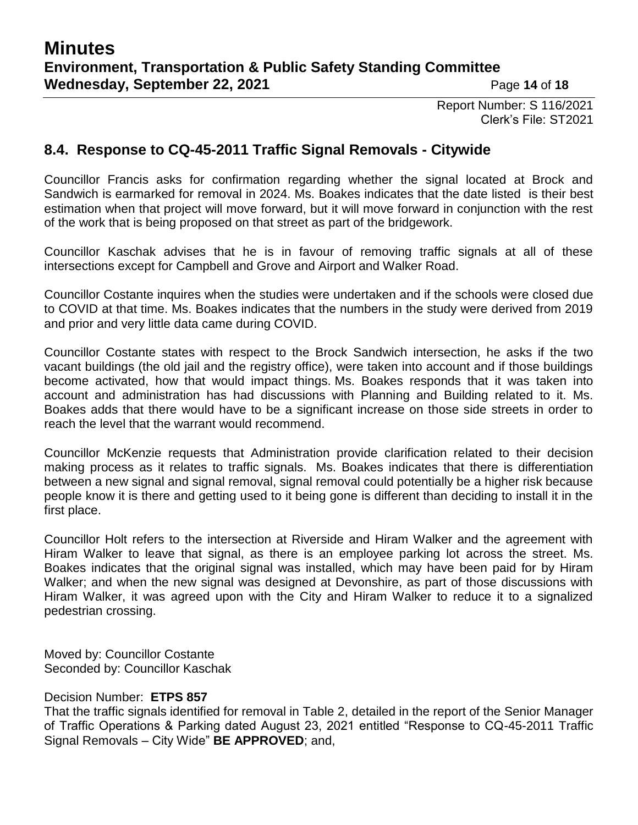Report Number: S 116/2021 Clerk's File: ST2021

### **8.4. Response to CQ-45-2011 Traffic Signal Removals - Citywide**

Councillor Francis asks for confirmation regarding whether the signal located at Brock and Sandwich is earmarked for removal in 2024. Ms. Boakes indicates that the date listed is their best estimation when that project will move forward, but it will move forward in conjunction with the rest of the work that is being proposed on that street as part of the bridgework.

Councillor Kaschak advises that he is in favour of removing traffic signals at all of these intersections except for Campbell and Grove and Airport and Walker Road.

Councillor Costante inquires when the studies were undertaken and if the schools were closed due to COVID at that time. Ms. Boakes indicates that the numbers in the study were derived from 2019 and prior and very little data came during COVID.

Councillor Costante states with respect to the Brock Sandwich intersection, he asks if the two vacant buildings (the old jail and the registry office), were taken into account and if those buildings become activated, how that would impact things. Ms. Boakes responds that it was taken into account and administration has had discussions with Planning and Building related to it. Ms. Boakes adds that there would have to be a significant increase on those side streets in order to reach the level that the warrant would recommend.

Councillor McKenzie requests that Administration provide clarification related to their decision making process as it relates to traffic signals. Ms. Boakes indicates that there is differentiation between a new signal and signal removal, signal removal could potentially be a higher risk because people know it is there and getting used to it being gone is different than deciding to install it in the first place.

Councillor Holt refers to the intersection at Riverside and Hiram Walker and the agreement with Hiram Walker to leave that signal, as there is an employee parking lot across the street. Ms. Boakes indicates that the original signal was installed, which may have been paid for by Hiram Walker; and when the new signal was designed at Devonshire, as part of those discussions with Hiram Walker, it was agreed upon with the City and Hiram Walker to reduce it to a signalized pedestrian crossing.

Moved by: Councillor Costante Seconded by: Councillor Kaschak

#### Decision Number: **ETPS 857**

That the traffic signals identified for removal in Table 2, detailed in the report of the Senior Manager of Traffic Operations & Parking dated August 23, 2021 entitled "Response to CQ-45-2011 Traffic Signal Removals – City Wide" **BE APPROVED**; and,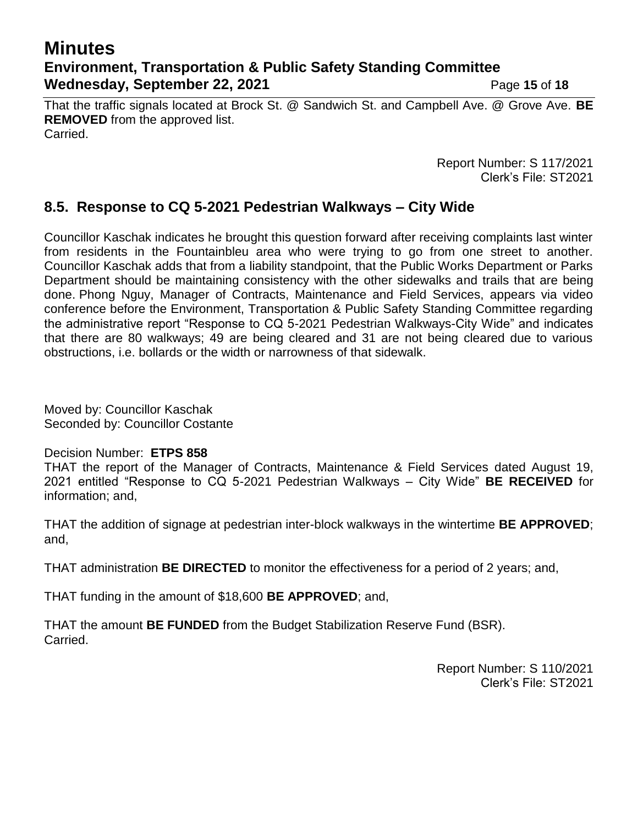## **Minutes Environment, Transportation & Public Safety Standing Committee Wednesday, September 22, 2021** Page 15 of 18

That the traffic signals located at Brock St. @ Sandwich St. and Campbell Ave. @ Grove Ave. **BE REMOVED** from the approved list. Carried.

> Report Number: S 117/2021 Clerk's File: ST2021

## **8.5. Response to CQ 5-2021 Pedestrian Walkways – City Wide**

Councillor Kaschak indicates he brought this question forward after receiving complaints last winter from residents in the Fountainbleu area who were trying to go from one street to another. Councillor Kaschak adds that from a liability standpoint, that the Public Works Department or Parks Department should be maintaining consistency with the other sidewalks and trails that are being done. Phong Nguy, Manager of Contracts, Maintenance and Field Services, appears via video conference before the Environment, Transportation & Public Safety Standing Committee regarding the administrative report "Response to CQ 5-2021 Pedestrian Walkways-City Wide" and indicates that there are 80 walkways; 49 are being cleared and 31 are not being cleared due to various obstructions, i.e. bollards or the width or narrowness of that sidewalk.

Moved by: Councillor Kaschak Seconded by: Councillor Costante

#### Decision Number: **ETPS 858**

THAT the report of the Manager of Contracts, Maintenance & Field Services dated August 19, 2021 entitled "Response to CQ 5-2021 Pedestrian Walkways – City Wide" **BE RECEIVED** for information; and,

THAT the addition of signage at pedestrian inter-block walkways in the wintertime **BE APPROVED**; and,

THAT administration **BE DIRECTED** to monitor the effectiveness for a period of 2 years; and,

THAT funding in the amount of \$18,600 **BE APPROVED**; and,

THAT the amount **BE FUNDED** from the Budget Stabilization Reserve Fund (BSR). Carried.

> Report Number: S 110/2021 Clerk's File: ST2021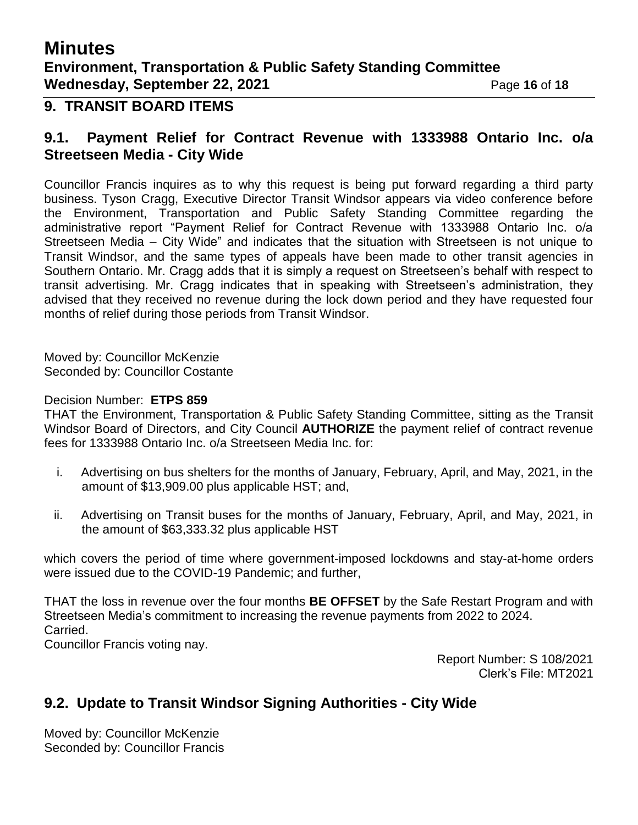## **Minutes Environment, Transportation & Public Safety Standing Committee Wednesday, September 22, 2021** Page 16 of 18

#### **9. TRANSIT BOARD ITEMS**

### **9.1. Payment Relief for Contract Revenue with 1333988 Ontario Inc. o/a Streetseen Media - City Wide**

Councillor Francis inquires as to why this request is being put forward regarding a third party business. Tyson Cragg, Executive Director Transit Windsor appears via video conference before the Environment, Transportation and Public Safety Standing Committee regarding the administrative report "Payment Relief for Contract Revenue with 1333988 Ontario Inc. o/a Streetseen Media – City Wide" and indicates that the situation with Streetseen is not unique to Transit Windsor, and the same types of appeals have been made to other transit agencies in Southern Ontario. Mr. Cragg adds that it is simply a request on Streetseen's behalf with respect to transit advertising. Mr. Cragg indicates that in speaking with Streetseen's administration, they advised that they received no revenue during the lock down period and they have requested four months of relief during those periods from Transit Windsor.

Moved by: Councillor McKenzie Seconded by: Councillor Costante

#### Decision Number: **ETPS 859**

THAT the Environment, Transportation & Public Safety Standing Committee, sitting as the Transit Windsor Board of Directors, and City Council **AUTHORIZE** the payment relief of contract revenue fees for 1333988 Ontario Inc. o/a Streetseen Media Inc. for:

- i. Advertising on bus shelters for the months of January, February, April, and May, 2021, in the amount of \$13,909.00 plus applicable HST; and,
- ii. Advertising on Transit buses for the months of January, February, April, and May, 2021, in the amount of \$63,333.32 plus applicable HST

which covers the period of time where government-imposed lockdowns and stay-at-home orders were issued due to the COVID-19 Pandemic; and further,

THAT the loss in revenue over the four months **BE OFFSET** by the Safe Restart Program and with Streetseen Media's commitment to increasing the revenue payments from 2022 to 2024. Carried. Councillor Francis voting nay.

> Report Number: S 108/2021 Clerk's File: MT2021

## **9.2. Update to Transit Windsor Signing Authorities - City Wide**

Moved by: Councillor McKenzie Seconded by: Councillor Francis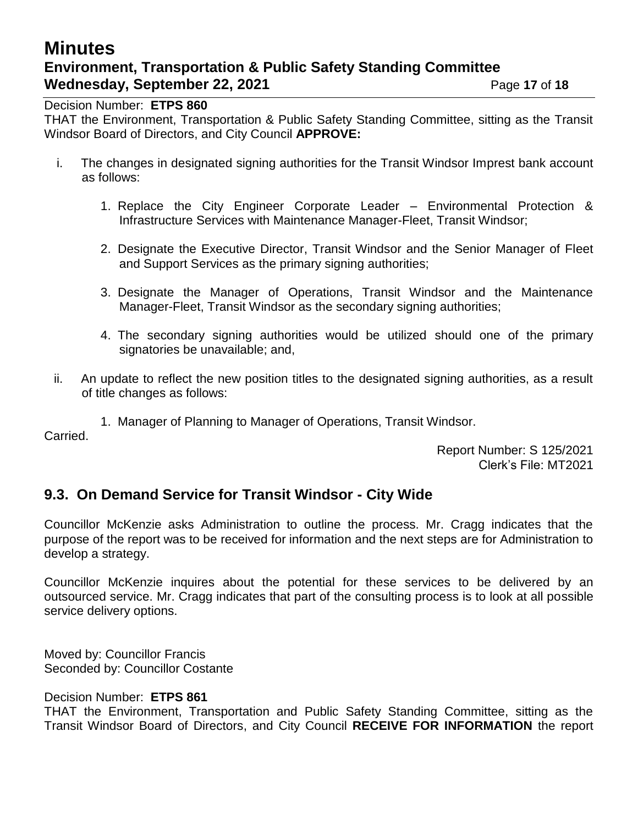# **Minutes Environment, Transportation & Public Safety Standing Committee Wednesday, September 22, 2021** Page 17 of 18

Decision Number: **ETPS 860**

THAT the Environment, Transportation & Public Safety Standing Committee, sitting as the Transit Windsor Board of Directors, and City Council **APPROVE:**

- i. The changes in designated signing authorities for the Transit Windsor Imprest bank account as follows:
	- 1. Replace the City Engineer Corporate Leader Environmental Protection & Infrastructure Services with Maintenance Manager-Fleet, Transit Windsor;
	- 2. Designate the Executive Director, Transit Windsor and the Senior Manager of Fleet and Support Services as the primary signing authorities;
	- 3. Designate the Manager of Operations, Transit Windsor and the Maintenance Manager-Fleet, Transit Windsor as the secondary signing authorities;
	- 4. The secondary signing authorities would be utilized should one of the primary signatories be unavailable; and,
- ii. An update to reflect the new position titles to the designated signing authorities, as a result of title changes as follows:

1. Manager of Planning to Manager of Operations, Transit Windsor.

Carried.

Report Number: S 125/2021 Clerk's File: MT2021

## **9.3. On Demand Service for Transit Windsor - City Wide**

Councillor McKenzie asks Administration to outline the process. Mr. Cragg indicates that the purpose of the report was to be received for information and the next steps are for Administration to develop a strategy.

Councillor McKenzie inquires about the potential for these services to be delivered by an outsourced service. Mr. Cragg indicates that part of the consulting process is to look at all possible service delivery options.

Moved by: Councillor Francis Seconded by: Councillor Costante

#### Decision Number: **ETPS 861**

THAT the Environment, Transportation and Public Safety Standing Committee, sitting as the Transit Windsor Board of Directors, and City Council **RECEIVE FOR INFORMATION** the report